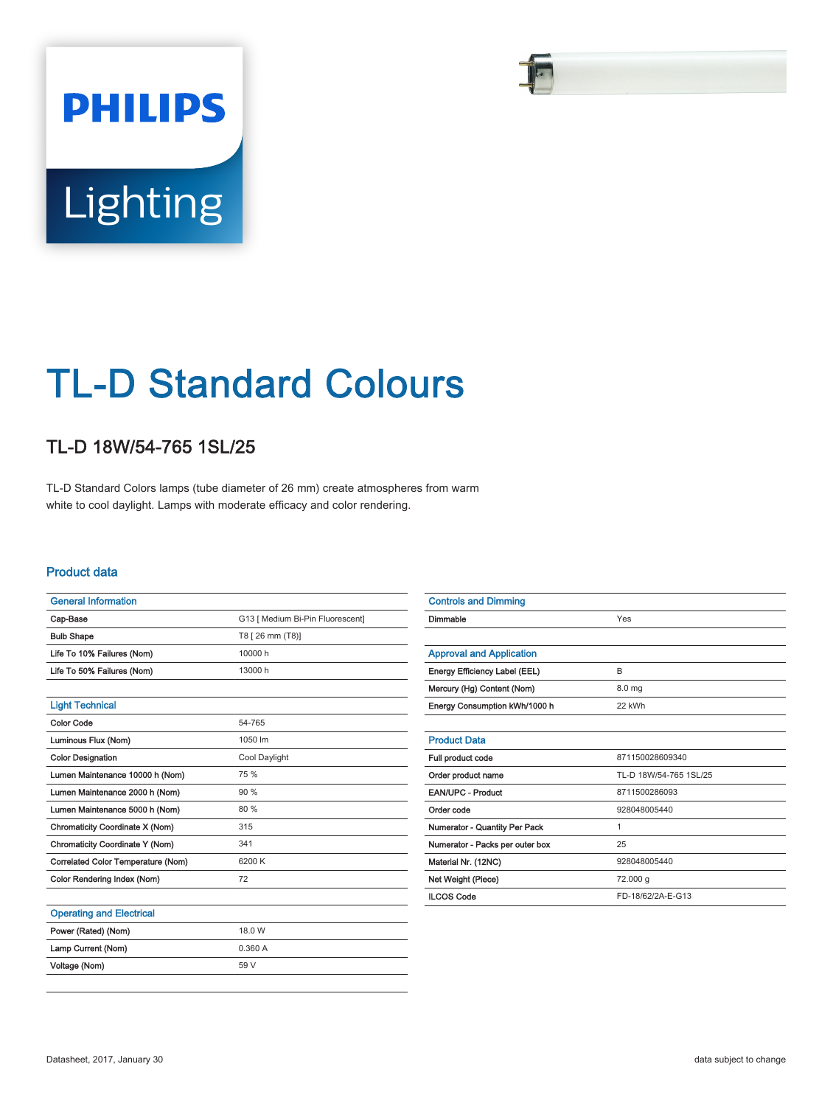# **PHILIPS** Lighting

# TL-D Standard Colours

# TL-D 18W/54-765 1SL/25

TL-D Standard Colors lamps (tube diameter of 26 mm) create atmospheres from warm white to cool daylight. Lamps with moderate efficacy and color rendering.

#### Product data

| <b>General Information</b>         |                                  |  |  |  |
|------------------------------------|----------------------------------|--|--|--|
| Cap-Base                           | G13 [ Medium Bi-Pin Fluorescent] |  |  |  |
| <b>Bulb Shape</b>                  | T8 [ 26 mm (T8)]                 |  |  |  |
| Life To 10% Failures (Nom)         | 10000 h                          |  |  |  |
| Life To 50% Failures (Nom)         | 13000 h                          |  |  |  |
|                                    |                                  |  |  |  |
| <b>Light Technical</b>             |                                  |  |  |  |
| Color Code                         | 54-765                           |  |  |  |
| Luminous Flux (Nom)                | 1050 lm                          |  |  |  |
| <b>Color Designation</b>           | Cool Daylight                    |  |  |  |
| Lumen Maintenance 10000 h (Nom)    | 75 %                             |  |  |  |
| Lumen Maintenance 2000 h (Nom)     | 90%                              |  |  |  |
| Lumen Maintenance 5000 h (Nom)     | 80 %                             |  |  |  |
| Chromaticity Coordinate X (Nom)    | 315                              |  |  |  |
| Chromaticity Coordinate Y (Nom)    | 341                              |  |  |  |
| Correlated Color Temperature (Nom) | 6200 K                           |  |  |  |
| Color Rendering Index (Nom)        | 72                               |  |  |  |
|                                    |                                  |  |  |  |
| <b>Operating and Electrical</b>    |                                  |  |  |  |
| Power (Rated) (Nom)                | 18.0 W                           |  |  |  |
| Lamp Current (Nom)                 | 0.360A                           |  |  |  |

| <b>Controls and Dimming</b>     |                        |  |  |
|---------------------------------|------------------------|--|--|
| Dimmable                        | Yes                    |  |  |
|                                 |                        |  |  |
| <b>Approval and Application</b> |                        |  |  |
| Energy Efficiency Label (EEL)   | B                      |  |  |
| Mercury (Hg) Content (Nom)      | 8.0 <sub>mg</sub>      |  |  |
| Energy Consumption kWh/1000 h   | 22 kWh                 |  |  |
|                                 |                        |  |  |
| <b>Product Data</b>             |                        |  |  |
| Full product code               | 871150028609340        |  |  |
| Order product name              | TL-D 18W/54-765 1SL/25 |  |  |
| <b>EAN/UPC - Product</b>        | 8711500286093          |  |  |
| Order code                      | 928048005440           |  |  |
| Numerator - Quantity Per Pack   | 1                      |  |  |
| Numerator - Packs per outer box | 25                     |  |  |
| Material Nr. (12NC)             | 928048005440           |  |  |
| Net Weight (Piece)              | 72.000 g               |  |  |
| <b>ILCOS Code</b>               | FD-18/62/2A-E-G13      |  |  |
|                                 |                        |  |  |
|                                 |                        |  |  |

Voltage (Nom) 59 V